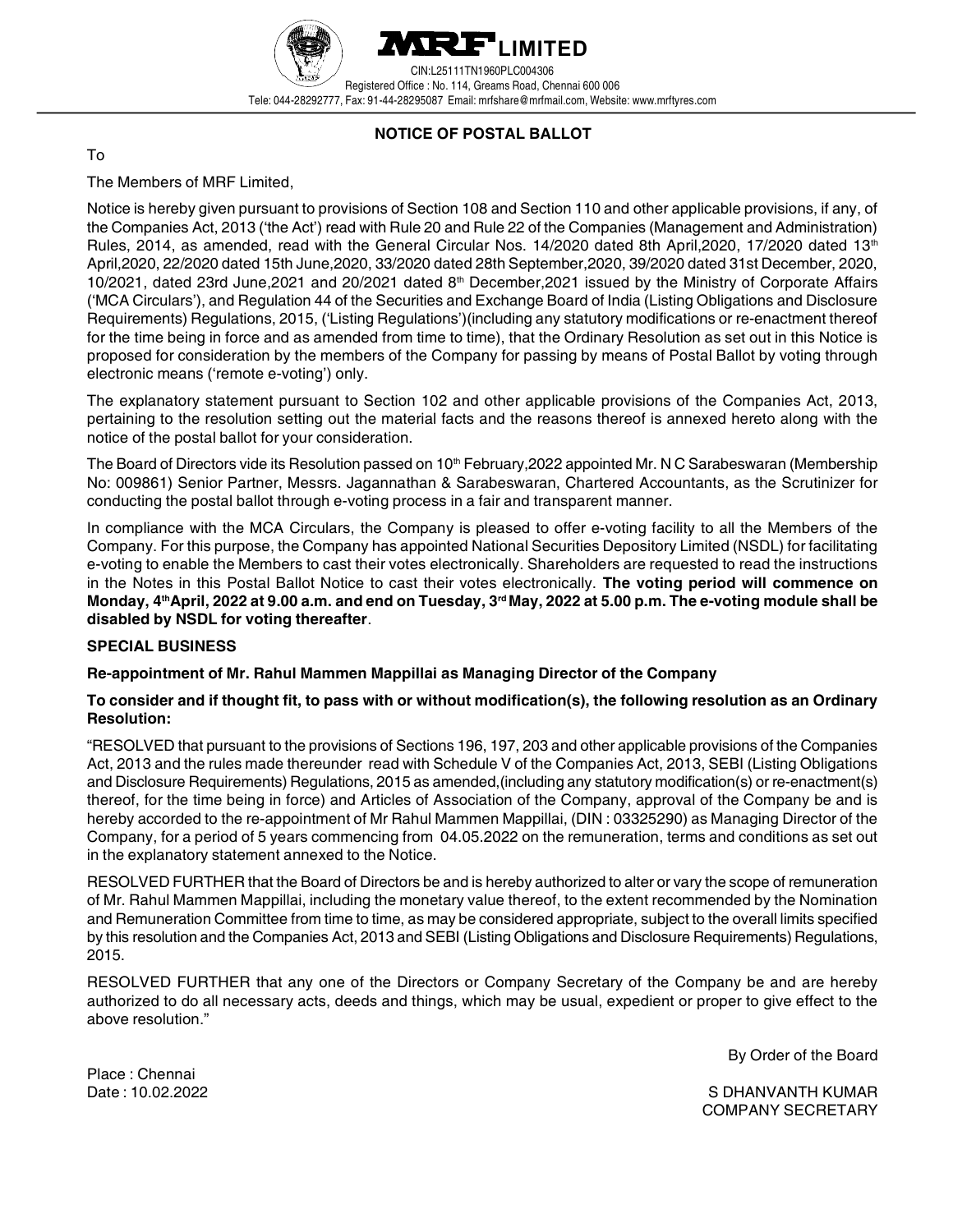



CIN:L25111TN1960PLC004306 Registered Office : No. 114, Greams Road, Chennai 600 006 Tele: 044-28292777, Fax: 91-44-28295087 Email: mrfshare@mrfmail.com, Website: www.mrftyres.com

# NOTICE OF POSTAL BALLOT

## To

The Members of MRF Limited,

Notice is hereby given pursuant to provisions of Section 108 and Section 110 and other applicable provisions, if any, of the Companies Act, 2013 ('the Act') read with Rule 20 and Rule 22 of the Companies (Management and Administration) Rules, 2014, as amended, read with the General Circular Nos. 14/2020 dated 8th April, 2020, 17/2020 dated 13<sup>th</sup> April,2020, 22/2020 dated 15th June,2020, 33/2020 dated 28th September,2020, 39/2020 dated 31st December, 2020, 10/2021, dated 23rd June, 2021 and 20/2021 dated 8<sup>th</sup> December, 2021 issued by the Ministry of Corporate Affairs ('MCA Circulars'), and Regulation 44 of the Securities and Exchange Board of India (Listing Obligations and Disclosure Requirements) Regulations, 2015, ('Listing Regulations')(including any statutory modifications or re-enactment thereof for the time being in force and as amended from time to time), that the Ordinary Resolution as set out in this Notice is proposed for consideration by the members of the Company for passing by means of Postal Ballot by voting through electronic means ('remote e-voting') only.

The explanatory statement pursuant to Section 102 and other applicable provisions of the Companies Act, 2013, pertaining to the resolution setting out the material facts and the reasons thereof is annexed hereto along with the notice of the postal ballot for your consideration.

The Board of Directors vide its Resolution passed on 10<sup>th</sup> February, 2022 appointed Mr. N C Sarabeswaran (Membership No: 009861) Senior Partner, Messrs. Jagannathan & Sarabeswaran, Chartered Accountants, as the Scrutinizer for conducting the postal ballot through e-voting process in a fair and transparent manner.

In compliance with the MCA Circulars, the Company is pleased to offer e-voting facility to all the Members of the Company. For this purpose, the Company has appointed National Securities Depository Limited (NSDL) for facilitating e-voting to enable the Members to cast their votes electronically. Shareholders are requested to read the instructions in the Notes in this Postal Ballot Notice to cast their votes electronically. The voting period will commence on Monday, 4<sup>th</sup>April, 2022 at 9.00 a.m. and end on Tuesday, 3<sup>rd</sup> May, 2022 at 5.00 p.m. The e-voting module shall be disabled by NSDL for voting thereafter.

## SPECIAL BUSINESS

## Re-appointment of Mr. Rahul Mammen Mappillai as Managing Director of the Company

## To consider and if thought fit, to pass with or without modification(s), the following resolution as an Ordinary Resolution:

"RESOLVED that pursuant to the provisions of Sections 196, 197, 203 and other applicable provisions of the Companies Act, 2013 and the rules made thereunder read with Schedule V of the Companies Act, 2013, SEBI (Listing Obligations and Disclosure Requirements) Regulations, 2015 as amended,(including any statutory modification(s) or re-enactment(s) thereof, for the time being in force) and Articles of Association of the Company, approval of the Company be and is hereby accorded to the re-appointment of Mr Rahul Mammen Mappillai, (DIN : 03325290) as Managing Director of the Company, for a period of 5 years commencing from 04.05.2022 on the remuneration, terms and conditions as set out in the explanatory statement annexed to the Notice.

RESOLVED FURTHER that the Board of Directors be and is hereby authorized to alter or vary the scope of remuneration of Mr. Rahul Mammen Mappillai, including the monetary value thereof, to the extent recommended by the Nomination and Remuneration Committee from time to time, as may be considered appropriate, subject to the overall limits specified by this resolution and the Companies Act, 2013 and SEBI (Listing Obligations and Disclosure Requirements) Regulations, 2015.

RESOLVED FURTHER that any one of the Directors or Company Secretary of the Company be and are hereby authorized to do all necessary acts, deeds and things, which may be usual, expedient or proper to give effect to the above resolution."

By Order of the Board

Place : Chennai

Date : 10.02.2022 S DHANVANTH KUMAR COMPANY SECRETARY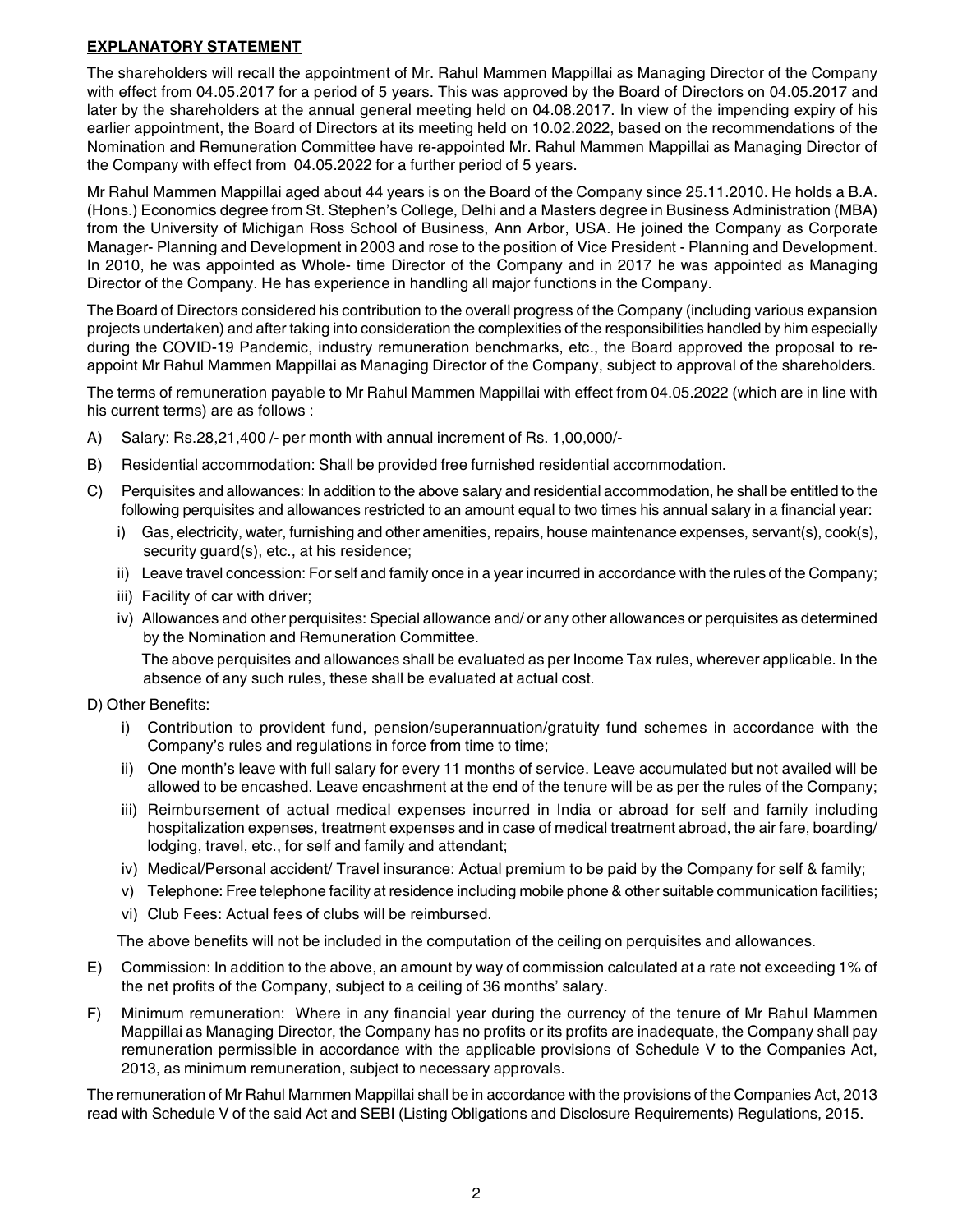# EXPLANATORY STATEMENT

The shareholders will recall the appointment of Mr. Rahul Mammen Mappillai as Managing Director of the Company with effect from 04.05.2017 for a period of 5 years. This was approved by the Board of Directors on 04.05.2017 and later by the shareholders at the annual general meeting held on 04.08.2017. In view of the impending expiry of his earlier appointment, the Board of Directors at its meeting held on 10.02.2022, based on the recommendations of the Nomination and Remuneration Committee have re-appointed Mr. Rahul Mammen Mappillai as Managing Director of the Company with effect from 04.05.2022 for a further period of 5 years.

Mr Rahul Mammen Mappillai aged about 44 years is on the Board of the Company since 25.11.2010. He holds a B.A. (Hons.) Economics degree from St. Stephen's College, Delhi and a Masters degree in Business Administration (MBA) from the University of Michigan Ross School of Business, Ann Arbor, USA. He joined the Company as Corporate Manager- Planning and Development in 2003 and rose to the position of Vice President - Planning and Development. In 2010, he was appointed as Whole- time Director of the Company and in 2017 he was appointed as Managing Director of the Company. He has experience in handling all major functions in the Company.

The Board of Directors considered his contribution to the overall progress of the Company (including various expansion projects undertaken) and after taking into consideration the complexities of the responsibilities handled by him especially during the COVID-19 Pandemic, industry remuneration benchmarks, etc., the Board approved the proposal to reappoint Mr Rahul Mammen Mappillai as Managing Director of the Company, subject to approval of the shareholders.

The terms of remuneration payable to Mr Rahul Mammen Mappillai with effect from 04.05.2022 (which are in line with his current terms) are as follows :

- A) Salary: Rs.28,21,400 /- per month with annual increment of Rs. 1,00,000/-
- B) Residential accommodation: Shall be provided free furnished residential accommodation.
- C) Perquisites and allowances: In addition to the above salary and residential accommodation, he shall be entitled to the following perquisites and allowances restricted to an amount equal to two times his annual salary in a financial year:
	- i) Gas, electricity, water, furnishing and other amenities, repairs, house maintenance expenses, servant(s), cook(s), security guard(s), etc., at his residence;
	- ii) Leave travel concession: For self and family once in a year incurred in accordance with the rules of the Company;
	- iii) Facility of car with driver;
	- iv) Allowances and other perquisites: Special allowance and/ or any other allowances or perquisites as determined by the Nomination and Remuneration Committee.

The above perquisites and allowances shall be evaluated as per Income Tax rules, wherever applicable. In the absence of any such rules, these shall be evaluated at actual cost.

- D) Other Benefits:
	- i) Contribution to provident fund, pension/superannuation/gratuity fund schemes in accordance with the Company's rules and regulations in force from time to time;
	- ii) One month's leave with full salary for every 11 months of service. Leave accumulated but not availed will be allowed to be encashed. Leave encashment at the end of the tenure will be as per the rules of the Company;
	- iii) Reimbursement of actual medical expenses incurred in India or abroad for self and family including hospitalization expenses, treatment expenses and in case of medical treatment abroad, the air fare, boarding/ lodging, travel, etc., for self and family and attendant;
	- iv) Medical/Personal accident/ Travel insurance: Actual premium to be paid by the Company for self & family;
	- v) Telephone: Free telephone facility at residence including mobile phone & other suitable communication facilities;
	- vi) Club Fees: Actual fees of clubs will be reimbursed.

The above benefits will not be included in the computation of the ceiling on perquisites and allowances.

- E) Commission: In addition to the above, an amount by way of commission calculated at a rate not exceeding 1% of the net profits of the Company, subject to a ceiling of 36 months' salary.
- F) Minimum remuneration: Where in any financial year during the currency of the tenure of Mr Rahul Mammen Mappillai as Managing Director, the Company has no profits or its profits are inadequate, the Company shall pay remuneration permissible in accordance with the applicable provisions of Schedule V to the Companies Act, 2013, as minimum remuneration, subject to necessary approvals.

The remuneration of Mr Rahul Mammen Mappillai shall be in accordance with the provisions of the Companies Act, 2013 read with Schedule V of the said Act and SEBI (Listing Obligations and Disclosure Requirements) Regulations, 2015.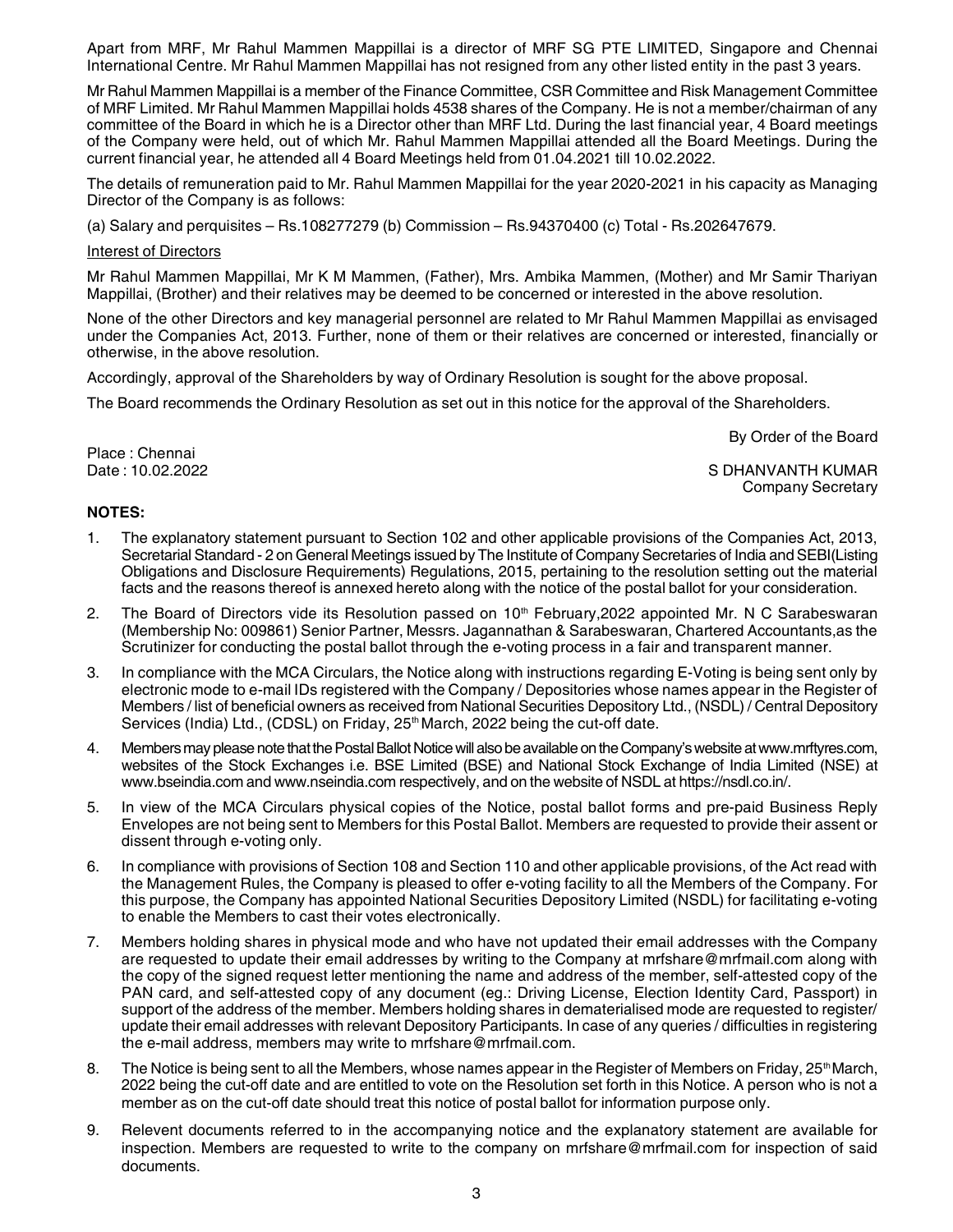Apart from MRF, Mr Rahul Mammen Mappillai is a director of MRF SG PTE LIMITED, Singapore and Chennai International Centre. Mr Rahul Mammen Mappillai has not resigned from any other listed entity in the past 3 years.

Mr Rahul Mammen Mappillai is a member of the Finance Committee, CSR Committee and Risk Management Committee of MRF Limited. Mr Rahul Mammen Mappillai holds 4538 shares of the Company. He is not a member/chairman of any committee of the Board in which he is a Director other than MRF Ltd. During the last financial year, 4 Board meetings of the Company were held, out of which Mr. Rahul Mammen Mappillai attended all the Board Meetings. During the current financial year, he attended all 4 Board Meetings held from 01.04.2021 till 10.02.2022.

The details of remuneration paid to Mr. Rahul Mammen Mappillai for the year 2020-2021 in his capacity as Managing Director of the Company is as follows:

(a) Salary and perquisites – Rs.108277279 (b) Commission – Rs.94370400 (c) Total - Rs.202647679.

#### Interest of Directors

Mr Rahul Mammen Mappillai, Mr K M Mammen, (Father), Mrs. Ambika Mammen, (Mother) and Mr Samir Thariyan Mappillai, (Brother) and their relatives may be deemed to be concerned or interested in the above resolution.

None of the other Directors and key managerial personnel are related to Mr Rahul Mammen Mappillai as envisaged under the Companies Act, 2013. Further, none of them or their relatives are concerned or interested, financially or otherwise, in the above resolution.

Accordingly, approval of the Shareholders by way of Ordinary Resolution is sought for the above proposal.

The Board recommends the Ordinary Resolution as set out in this notice for the approval of the Shareholders.

By Order of the Board

Place : Chennai<br>Date : 10.02.2022

S DHANVANTH KUMAR Company Secretary

### NOTES:

- 1. The explanatory statement pursuant to Section 102 and other applicable provisions of the Companies Act, 2013, Secretarial Standard - 2 on General Meetings issued by The Institute of Company Secretaries of India and SEBI(Listing Obligations and Disclosure Requirements) Regulations, 2015, pertaining to the resolution setting out the material facts and the reasons thereof is annexed hereto along with the notice of the postal ballot for your consideration.
- 2. The Board of Directors vide its Resolution passed on  $10<sup>th</sup>$  February, 2022 appointed Mr. N C Sarabeswaran (Membership No: 009861) Senior Partner, Messrs. Jagannathan & Sarabeswaran, Chartered Accountants,as the Scrutinizer for conducting the postal ballot through the e-voting process in a fair and transparent manner.
- 3. In compliance with the MCA Circulars, the Notice along with instructions regarding E-Voting is being sent only by electronic mode to e-mail IDs registered with the Company / Depositories whose names appear in the Register of Members / list of beneficial owners as received from National Securities Depository Ltd., (NSDL) / Central Depository Services (India) Ltd., (CDSL) on Friday,  $25<sup>th</sup>$  March, 2022 being the cut-off date.
- 4. Members may please note that the Postal Ballot Notice will also be available on the Company's website at www.mrftyres.com, websites of the Stock Exchanges i.e. BSE Limited (BSE) and National Stock Exchange of India Limited (NSE) at www.bseindia.com and www.nseindia.com respectively, and on the website of NSDL at https://nsdl.co.in/.
- 5. In view of the MCA Circulars physical copies of the Notice, postal ballot forms and pre-paid Business Reply Envelopes are not being sent to Members for this Postal Ballot. Members are requested to provide their assent or dissent through e-voting only.
- 6. In compliance with provisions of Section 108 and Section 110 and other applicable provisions, of the Act read with the Management Rules, the Company is pleased to offer e-voting facility to all the Members of the Company. For this purpose, the Company has appointed National Securities Depository Limited (NSDL) for facilitating e-voting to enable the Members to cast their votes electronically.
- 7. Members holding shares in physical mode and who have not updated their email addresses with the Company are requested to update their email addresses by writing to the Company at mrfshare@mrfmail.com along with the copy of the signed request letter mentioning the name and address of the member, self-attested copy of the PAN card, and self-attested copy of any document (eg.: Driving License, Election Identity Card, Passport) in support of the address of the member. Members holding shares in dematerialised mode are requested to register/ update their email addresses with relevant Depository Participants. In case of any queries / difficulties in registering the e-mail address, members may write to mrfshare@mrfmail.com.
- 8. The Notice is being sent to all the Members, whose names appear in the Register of Members on Friday, 25<sup>th</sup> March, 2022 being the cut-off date and are entitled to vote on the Resolution set forth in this Notice. A person who is not a member as on the cut-off date should treat this notice of postal ballot for information purpose only.
- 9. Relevent documents referred to in the accompanying notice and the explanatory statement are available for inspection. Members are requested to write to the company on mrfshare@mrfmail.com for inspection of said documents.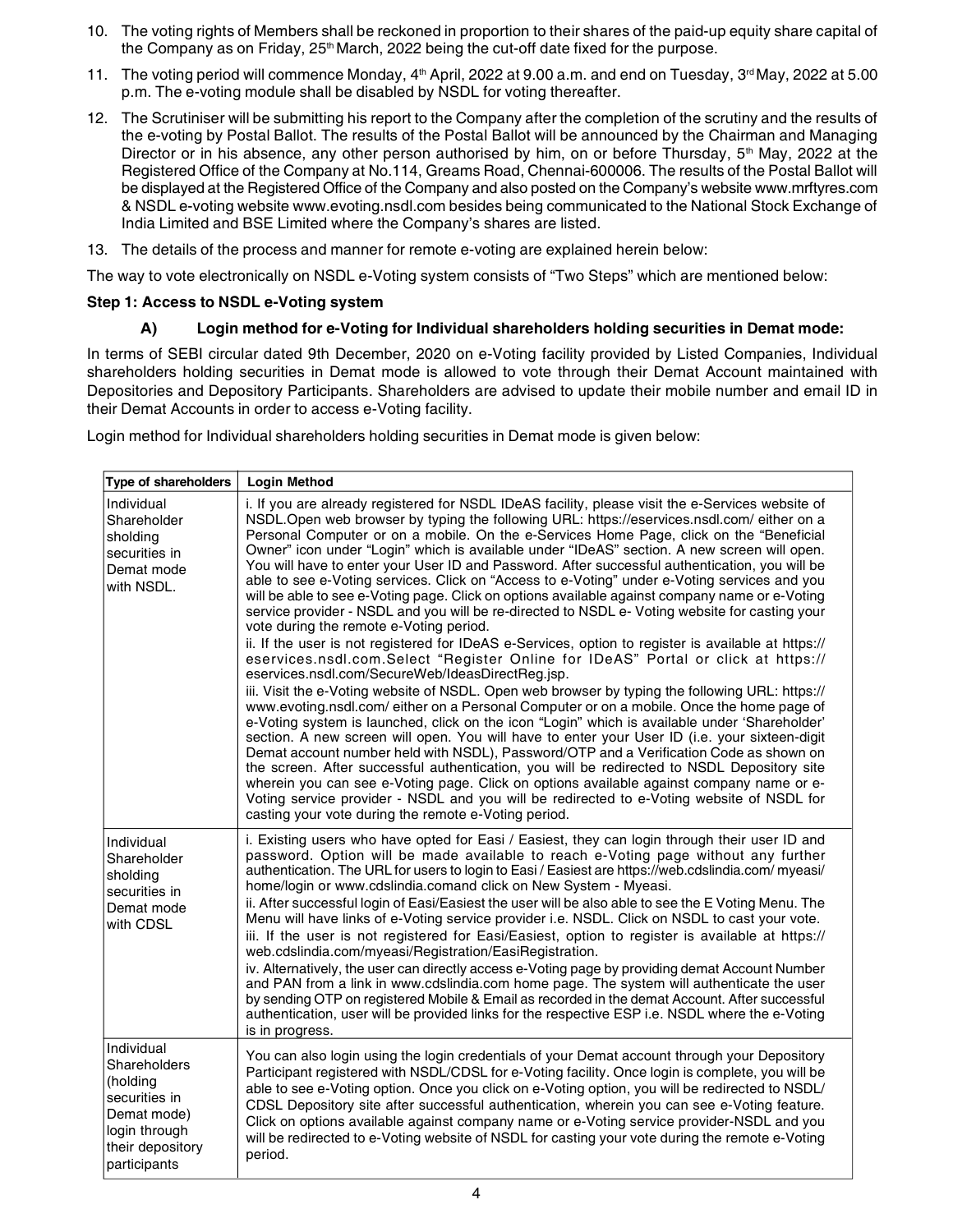- 10. The voting rights of Members shall be reckoned in proportion to their shares of the paid-up equity share capital of the Company as on Friday,  $25<sup>th</sup>$  March, 2022 being the cut-off date fixed for the purpose.
- 11. The voting period will commence Monday,  $4<sup>th</sup>$  April, 2022 at 9.00 a.m. and end on Tuesday,  $3<sup>rd</sup>$  May, 2022 at 5.00 p.m. The e-voting module shall be disabled by NSDL for voting thereafter.
- 12. The Scrutiniser will be submitting his report to the Company after the completion of the scrutiny and the results of the e-voting by Postal Ballot. The results of the Postal Ballot will be announced by the Chairman and Managing Director or in his absence, any other person authorised by him, on or before Thursday,  $5<sup>th</sup>$  May, 2022 at the Registered Office of the Company at No.114, Greams Road, Chennai-600006. The results of the Postal Ballot will be displayed at the Registered Office of the Company and also posted on the Company's website www.mrftyres.com & NSDL e-voting website www.evoting.nsdl.com besides being communicated to the National Stock Exchange of India Limited and BSE Limited where the Company's shares are listed.
- 13. The details of the process and manner for remote e-voting are explained herein below:

The way to vote electronically on NSDL e-Voting system consists of "Two Steps" which are mentioned below:

### Step 1: Access to NSDL e-Voting system

## A) Login method for e-Voting for Individual shareholders holding securities in Demat mode:

In terms of SEBI circular dated 9th December, 2020 on e-Voting facility provided by Listed Companies, Individual shareholders holding securities in Demat mode is allowed to vote through their Demat Account maintained with Depositories and Depository Participants. Shareholders are advised to update their mobile number and email ID in their Demat Accounts in order to access e-Voting facility.

Login method for Individual shareholders holding securities in Demat mode is given below:

| <b>Type of shareholders</b>                                                                                                 | <b>Login Method</b>                                                                                                                                                                                                                                                                                                                                                                                                                                                                                                                                                                                                                                                                                                                                                                                                                                                                                                                                                                                                                                                                                                                                                                                                                                                                                                                                                                                                                                                                                                                                                                                                                                                                                                                                                                                                                                                                                                                  |
|-----------------------------------------------------------------------------------------------------------------------------|--------------------------------------------------------------------------------------------------------------------------------------------------------------------------------------------------------------------------------------------------------------------------------------------------------------------------------------------------------------------------------------------------------------------------------------------------------------------------------------------------------------------------------------------------------------------------------------------------------------------------------------------------------------------------------------------------------------------------------------------------------------------------------------------------------------------------------------------------------------------------------------------------------------------------------------------------------------------------------------------------------------------------------------------------------------------------------------------------------------------------------------------------------------------------------------------------------------------------------------------------------------------------------------------------------------------------------------------------------------------------------------------------------------------------------------------------------------------------------------------------------------------------------------------------------------------------------------------------------------------------------------------------------------------------------------------------------------------------------------------------------------------------------------------------------------------------------------------------------------------------------------------------------------------------------------|
| Individual<br>Shareholder<br>sholding<br>securities in<br>Demat mode<br>with NSDL.                                          | i. If you are already registered for NSDL IDeAS facility, please visit the e-Services website of<br>NSDL.Open web browser by typing the following URL: https://eservices.nsdl.com/ either on a<br>Personal Computer or on a mobile. On the e-Services Home Page, click on the "Beneficial<br>Owner" icon under "Login" which is available under "IDeAS" section. A new screen will open.<br>You will have to enter your User ID and Password. After successful authentication, you will be<br>able to see e-Voting services. Click on "Access to e-Voting" under e-Voting services and you<br>will be able to see e-Voting page. Click on options available against company name or e-Voting<br>service provider - NSDL and you will be re-directed to NSDL e- Voting website for casting your<br>vote during the remote e-Voting period.<br>ii. If the user is not registered for IDeAS e-Services, option to register is available at https://<br>eservices.nsdl.com.Select "Register Online for IDeAS" Portal or click at https://<br>eservices.nsdl.com/SecureWeb/IdeasDirectReg.jsp.<br>iii. Visit the e-Voting website of NSDL. Open web browser by typing the following URL: https://<br>www.evoting.nsdl.com/either on a Personal Computer or on a mobile. Once the home page of<br>e-Voting system is launched, click on the icon "Login" which is available under 'Shareholder'<br>section. A new screen will open. You will have to enter your User ID (i.e. your sixteen-digit<br>Demat account number held with NSDL), Password/OTP and a Verification Code as shown on<br>the screen. After successful authentication, you will be redirected to NSDL Depository site<br>wherein you can see e-Voting page. Click on options available against company name or e-<br>Voting service provider - NSDL and you will be redirected to e-Voting website of NSDL for<br>casting your vote during the remote e-Voting period. |
| Individual<br>Shareholder<br>sholding<br>securities in<br>Demat mode<br>with CDSL                                           | i. Existing users who have opted for Easi / Easiest, they can login through their user ID and<br>password. Option will be made available to reach e-Voting page without any further<br>authentication. The URL for users to login to Easi / Easiest are https://web.cdslindia.com/ myeasi/<br>home/login or www.cdslindia.comand click on New System - Myeasi.<br>ii. After successful login of Easi/Easiest the user will be also able to see the E Voting Menu. The<br>Menu will have links of e-Voting service provider i.e. NSDL. Click on NSDL to cast your vote.<br>iii. If the user is not registered for Easi/Easiest, option to register is available at https://<br>web.cdslindia.com/myeasi/Registration/EasiRegistration.<br>iv. Alternatively, the user can directly access e-Voting page by providing demat Account Number<br>and PAN from a link in www.cdslindia.com home page. The system will authenticate the user<br>by sending OTP on registered Mobile & Email as recorded in the demat Account. After successful<br>authentication, user will be provided links for the respective ESP i.e. NSDL where the e-Voting<br>is in progress.                                                                                                                                                                                                                                                                                                                                                                                                                                                                                                                                                                                                                                                                                                                                                                        |
| Individual<br>Shareholders<br>(holding<br>securities in<br>Demat mode)<br>login through<br>their depository<br>participants | You can also login using the login credentials of your Demat account through your Depository<br>Participant registered with NSDL/CDSL for e-Voting facility. Once login is complete, you will be<br>able to see e-Voting option. Once you click on e-Voting option, you will be redirected to NSDL/<br>CDSL Depository site after successful authentication, wherein you can see e-Voting feature.<br>Click on options available against company name or e-Voting service provider-NSDL and you<br>will be redirected to e-Voting website of NSDL for casting your vote during the remote e-Voting<br>period.                                                                                                                                                                                                                                                                                                                                                                                                                                                                                                                                                                                                                                                                                                                                                                                                                                                                                                                                                                                                                                                                                                                                                                                                                                                                                                                        |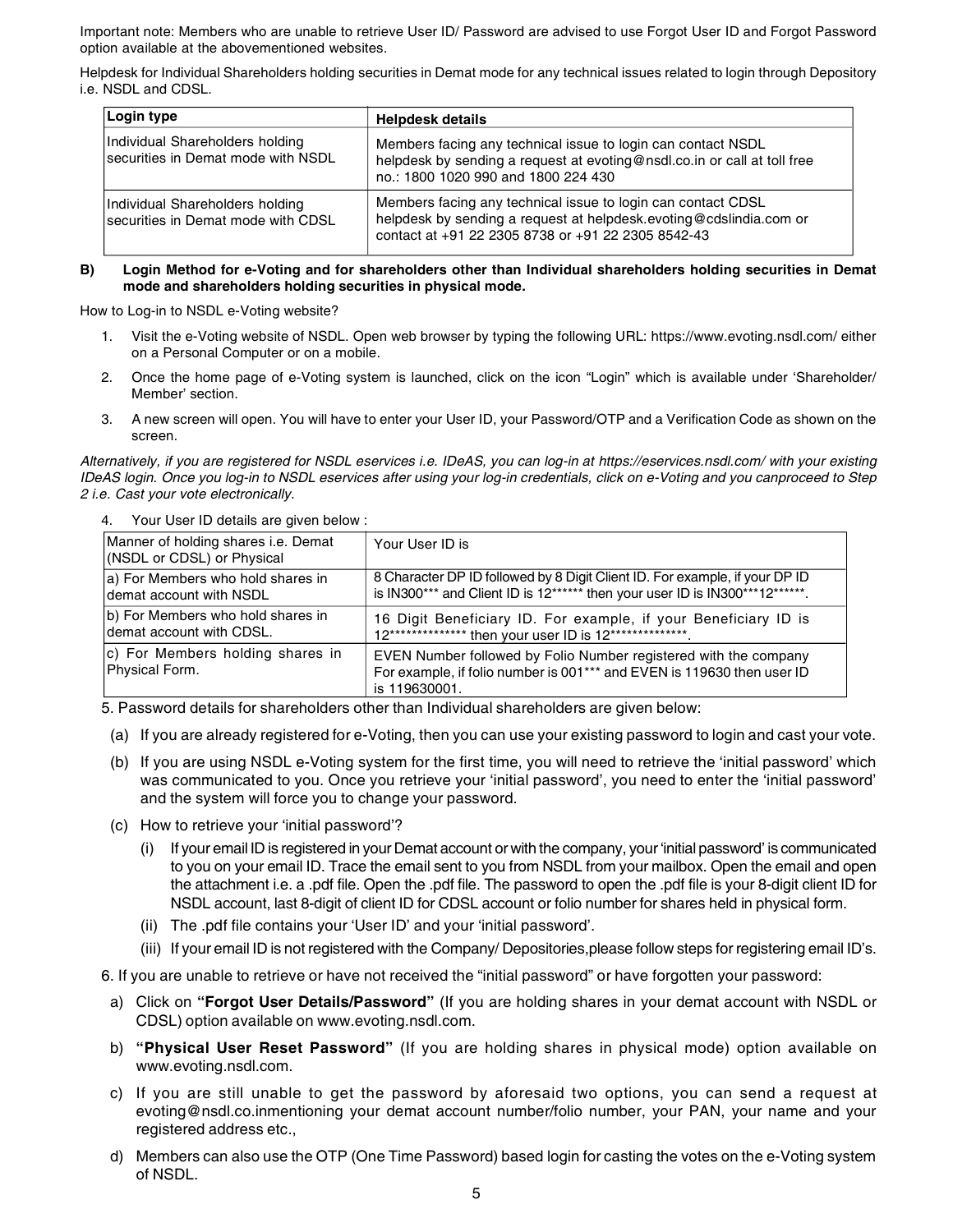Important note: Members who are unable to retrieve User ID/ Password are advised to use Forgot User ID and Forgot Password option available at the abovementioned websites.

Helpdesk for Individual Shareholders holding securities in Demat mode for any technical issues related to login through Depository i.e. NSDL and CDSL.

| Login type                                                            | <b>Helpdesk details</b>                                                                                                                                                                  |
|-----------------------------------------------------------------------|------------------------------------------------------------------------------------------------------------------------------------------------------------------------------------------|
| Individual Shareholders holding<br>securities in Demat mode with NSDL | Members facing any technical issue to login can contact NSDL<br>helpdesk by sending a request at evoting@nsdl.co.in or call at toll free<br>no.: 1800 1020 990 and 1800 224 430          |
| Individual Shareholders holding<br>securities in Demat mode with CDSL | Members facing any technical issue to login can contact CDSL<br>helpdesk by sending a request at helpdesk.evoting@cdslindia.com or<br>contact at +91 22 2305 8738 or +91 22 2305 8542-43 |

#### B) Login Method for e-Voting and for shareholders other than Individual shareholders holding securities in Demat mode and shareholders holding securities in physical mode.

How to Log-in to NSDL e-Voting website?

- 1. Visit the e-Voting website of NSDL. Open web browser by typing the following URL: https://www.evoting.nsdl.com/ either on a Personal Computer or on a mobile.
- 2. Once the home page of e-Voting system is launched, click on the icon "Login" which is available under 'Shareholder/ Member' section.
- 3. A new screen will open. You will have to enter your User ID, your Password/OTP and a Verification Code as shown on the screen.

Alternatively, if you are registered for NSDL eservices i.e. IDeAS, you can log-in at https://eservices.nsdl.com/ with your existing IDeAS login. Once you log-in to NSDL eservices after using your log-in credentials, click on e-Voting and you canproceed to Step 2 i.e. Cast your vote electronically.

4. Your User ID details are given below :

| Manner of holding shares i.e. Demat<br>(NSDL or CDSL) or Physical | Your User ID is                                                                                                                                             |
|-------------------------------------------------------------------|-------------------------------------------------------------------------------------------------------------------------------------------------------------|
| a) For Members who hold shares in<br>demat account with NSDL      | 8 Character DP ID followed by 8 Digit Client ID. For example, if your DP ID<br>is IN300*** and Client ID is 12****** then your user ID is IN300***12******. |
| b) For Members who hold shares in<br>demat account with CDSL.     | 16 Digit Beneficiary ID. For example, if your Beneficiary ID is<br>12*************** then your user ID is 12***************                                 |
| c) For Members holding shares in<br>Physical Form.                | EVEN Number followed by Folio Number registered with the company<br>For example, if folio number is 001*** and EVEN is 119630 then user ID<br>is 119630001. |

5. Password details for shareholders other than Individual shareholders are given below:

(a) If you are already registered for e-Voting, then you can use your existing password to login and cast your vote.

- (b) If you are using NSDL e-Voting system for the first time, you will need to retrieve the 'initial password' which was communicated to you. Once you retrieve your 'initial password', you need to enter the 'initial password' and the system will force you to change your password.
- (c) How to retrieve your 'initial password'?
	- (i) If your email ID is registered in your Demat account or with the company, your 'initial password' is communicated to you on your email ID. Trace the email sent to you from NSDL from your mailbox. Open the email and open the attachment i.e. a .pdf file. Open the .pdf file. The password to open the .pdf file is your 8-digit client ID for NSDL account, last 8-digit of client ID for CDSL account or folio number for shares held in physical form.
	- (ii) The .pdf file contains your 'User ID' and your 'initial password'.
	- (iii) If your email ID is not registered with the Company/ Depositories,please follow steps for registering email ID's.

6. If you are unable to retrieve or have not received the "initial password" or have forgotten your password:

- a) Click on "Forgot User Details/Password" (If you are holding shares in your demat account with NSDL or CDSL) option available on www.evoting.nsdl.com.
- b) "Physical User Reset Password" (If you are holding shares in physical mode) option available on www.evoting.nsdl.com.
- c) If you are still unable to get the password by aforesaid two options, you can send a request at evoting@nsdl.co.inmentioning your demat account number/folio number, your PAN, your name and your registered address etc.,
- d) Members can also use the OTP (One Time Password) based login for casting the votes on the e-Voting system of NSDL.